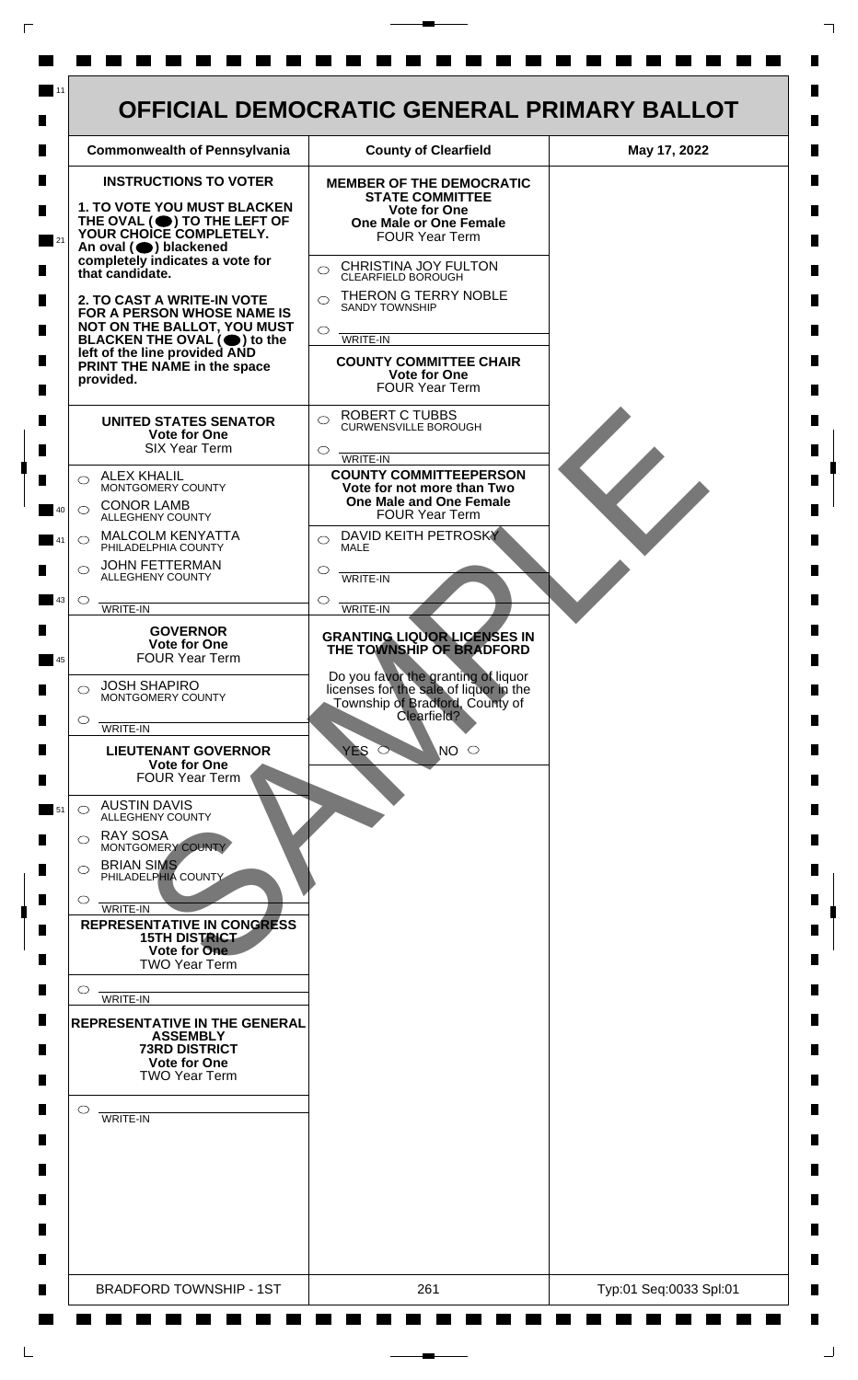| <b>INSTRUCTIONS TO VOTER</b><br><b>MEMBER OF THE DEMOCRATIC</b><br><b>STATE COMMITTEE</b><br>1. TO VOTE YOU MUST BLACKEN<br><b>Vote for One</b><br>THE OVAL (O) TO THE LEFT OF<br><b>One Male or One Female</b><br><b>FOUR Year Term</b><br>An oval (O) blackened<br>completely indicates a vote for<br>CHRISTINA JOY FULTON<br>$\bigcirc$<br>CLEARFIELD BOROUGH<br>THERON G TERRY NOBLE<br>$\bigcirc$<br><b>SANDY TOWNSHIP</b><br>FOR A PERSON WHOSE NAME IS<br>NOT ON THE BALLOT, YOU MUST<br>$\circ$<br>WRITE-IN<br>BLACKEN THE OVAL $(\bigcirc)$ to the<br>left of the line provided AND<br><b>COUNTY COMMITTEE CHAIR</b><br>PRINT THE NAME in the space<br><b>Vote for One</b><br>provided.<br><b>FOUR Year Term</b><br><b>ROBERT C TUBBS</b><br>$\bigcirc$<br><b>UNITED STATES SENATOR</b><br><b>CURWENSVILLE BOROUGH</b><br>Vote for One<br><b>SIX Year Term</b><br>$\circ$<br>WRITE-IN<br><b>COUNTY COMMITTEEPERSON</b><br><b>ALEX KHALIL</b><br>$\bigcirc$<br>MONTGOMERY COUNTY<br>Vote for not more than Two<br><b>One Male and One Female</b><br><b>CONOR LAMB</b><br>$\bigcirc$<br><b>FOUR Year Term</b><br><b>ALLEGHENY COUNTY</b><br>DAVID KEITH PETROSKY<br><b>MALCOLM KENYATTA</b><br>$\bigcirc$<br>PHILADELPHIA COUNTY<br><b>MALE</b><br><b>JOHN FETTERMAN</b><br>$\bigcirc$<br>O<br>ALLEGHENY COUNTY<br><b>WRITE-IN</b><br>$\circlearrowright$<br><b>WRITE-IN</b><br><b>WRITE-IN</b><br><b>GOVERNOR</b><br><b>GRANTING LIQUOR LICENSES IN</b><br><b>Vote for One</b><br>THE TOWNSHIP OF BRADFORD<br><b>FOUR Year Term</b><br>Do you favor the granting of liquor<br><b>JOSH SHAPIRO</b><br>licenses for the sale of liquor in the<br>$\bigcirc$<br>MONTGOMERY COUNTY<br>Township of Bradford, County of<br>Clearfield?<br>WRITE-IN<br><b>YES</b><br>$\overline{N}$ $\circ$<br><b>LIEUTENANT GOVERNOR</b><br>$\circ$<br><b>Vote for One</b><br><b>FOUR Year Term</b><br><b>AUSTIN DAVIS</b><br>$\bigcirc$<br><b>ALLEGHENY COUNTY</b><br><b>RAY SOSA</b><br>◯<br>MONTGOMERY COUNTY<br><b>BRIAN SIMS</b><br>$\circ$<br>PHILADELPHIA COUNTY<br>$\circ$<br>WRITE-IN<br><b>REPRESENTATIVE IN CONGRESS</b><br><b>15TH DISTRICT</b><br>Vote for One<br><b>TWO Year Term</b><br>$\circ$<br>WRITE-IN<br><b>ASSEMBLY</b><br><b>73RD DISTRICT</b><br><b>Vote for One</b><br><b>TWO Year Term</b> | <b>Commonwealth of Pennsylvania</b>                                                                                                                  | <b>County of Clearfield</b> | May 17, 2022 |
|--------------------------------------------------------------------------------------------------------------------------------------------------------------------------------------------------------------------------------------------------------------------------------------------------------------------------------------------------------------------------------------------------------------------------------------------------------------------------------------------------------------------------------------------------------------------------------------------------------------------------------------------------------------------------------------------------------------------------------------------------------------------------------------------------------------------------------------------------------------------------------------------------------------------------------------------------------------------------------------------------------------------------------------------------------------------------------------------------------------------------------------------------------------------------------------------------------------------------------------------------------------------------------------------------------------------------------------------------------------------------------------------------------------------------------------------------------------------------------------------------------------------------------------------------------------------------------------------------------------------------------------------------------------------------------------------------------------------------------------------------------------------------------------------------------------------------------------------------------------------------------------------------------------------------------------------------------------------------------------------------------------------------------------------------------------------------------------------------------------------------------------------------------------------------------------------------------------------------------------------------------------------------------------------------------|------------------------------------------------------------------------------------------------------------------------------------------------------|-----------------------------|--------------|
| $\circ$                                                                                                                                                                                                                                                                                                                                                                                                                                                                                                                                                                                                                                                                                                                                                                                                                                                                                                                                                                                                                                                                                                                                                                                                                                                                                                                                                                                                                                                                                                                                                                                                                                                                                                                                                                                                                                                                                                                                                                                                                                                                                                                                                                                                                                                                                                | YOUR CHOICE COMPLETELY.<br>that candidate.<br>2. TO CAST A WRITE-IN VOTE<br>$\bigcirc$<br>$\circ$<br>$\circ$<br><b>REPRESENTATIVE IN THE GENERAL</b> |                             |              |
|                                                                                                                                                                                                                                                                                                                                                                                                                                                                                                                                                                                                                                                                                                                                                                                                                                                                                                                                                                                                                                                                                                                                                                                                                                                                                                                                                                                                                                                                                                                                                                                                                                                                                                                                                                                                                                                                                                                                                                                                                                                                                                                                                                                                                                                                                                        | WRITE-IN                                                                                                                                             |                             |              |

 $\Gamma$ 

 $\Box$ 

 $\perp$ 

 $\overline{\phantom{a}}$